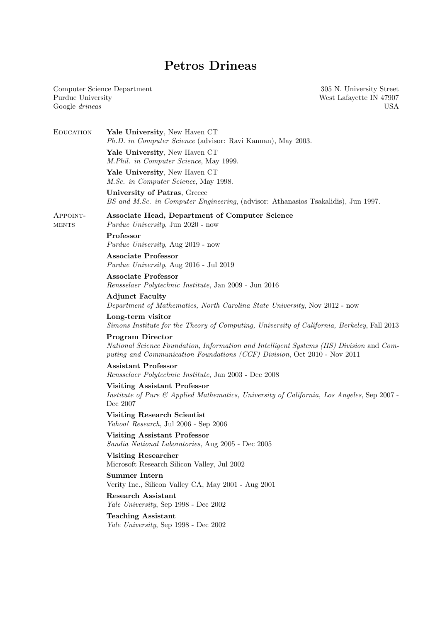# Petros Drineas

Computer Science Department Purdue University Google drineas

305 N. University Street West Lafayette IN 47907 USA

| <b>EDUCATION</b>  | Yale University, New Haven CT<br>Ph.D. in Computer Science (advisor: Ravi Kannan), May 2003.                                                                                                    |
|-------------------|-------------------------------------------------------------------------------------------------------------------------------------------------------------------------------------------------|
|                   | Yale University, New Haven CT<br>M.Phil. in Computer Science, May 1999.                                                                                                                         |
|                   | Yale University, New Haven CT<br>M.Sc. in Computer Science, May 1998.                                                                                                                           |
|                   | University of Patras, Greece<br>BS and M.Sc. in Computer Engineering, (advisor: Athanasios Tsakalidis), Jun 1997.                                                                               |
| APPOINT-<br>MENTS | Associate Head, Department of Computer Science<br><i>Purdue University</i> , Jun 2020 - now                                                                                                     |
|                   | Professor<br>Purdue University, Aug 2019 - now                                                                                                                                                  |
|                   | <b>Associate Professor</b><br>Purdue University, Aug 2016 - Jul 2019                                                                                                                            |
|                   | <b>Associate Professor</b><br>Rensselaer Polytechnic Institute, Jan 2009 - Jun 2016                                                                                                             |
|                   | <b>Adjunct Faculty</b><br>Department of Mathematics, North Carolina State University, Nov 2012 - now                                                                                            |
|                   | Long-term visitor<br>Simons Institute for the Theory of Computing, University of California, Berkeley, Fall 2013                                                                                |
|                   | <b>Program Director</b><br>National Science Foundation, Information and Intelligent Systems (IIS) Division and Com-<br>puting and Communication Foundations (CCF) Division, Oct 2010 - Nov 2011 |
|                   | <b>Assistant Professor</b><br>Rensselaer Polytechnic Institute, Jan 2003 - Dec 2008                                                                                                             |
|                   | <b>Visiting Assistant Professor</b><br>Institute of Pure & Applied Mathematics, University of California, Los Angeles, Sep 2007 -<br>Dec 2007                                                   |
|                   | <b>Visiting Research Scientist</b><br>Yahoo! Research, Jul 2006 - Sep 2006                                                                                                                      |
|                   | <b>Visiting Assistant Professor</b><br>Sandia National Laboratories, Aug 2005 - Dec 2005                                                                                                        |
|                   | <b>Visiting Researcher</b><br>Microsoft Research Silicon Valley, Jul 2002                                                                                                                       |
|                   | <b>Summer Intern</b><br>Verity Inc., Silicon Valley CA, May 2001 - Aug 2001                                                                                                                     |
|                   | <b>Research Assistant</b><br>Yale University, Sep 1998 - Dec 2002                                                                                                                               |
|                   | <b>Teaching Assistant</b><br>Yale University, Sep 1998 - Dec 2002                                                                                                                               |
|                   |                                                                                                                                                                                                 |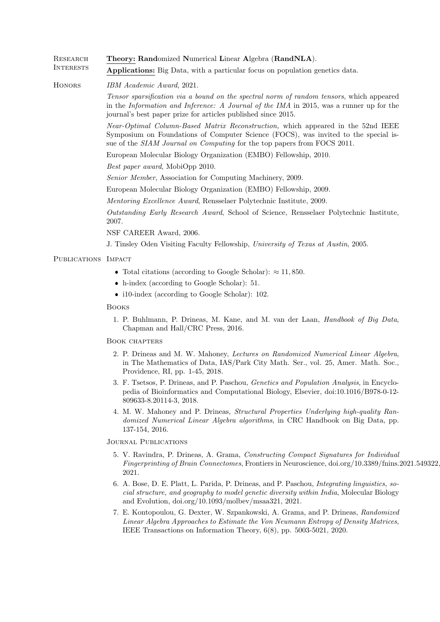RESEARCH Theory: Randomized Numerical Linear Algebra (RandNLA). INTERESTS Applications: Big Data, with a particular focus on population genetics data.

HONORS IBM Academic Award, 2021.

Tensor sparsification via a bound on the spectral norm of random tensors, which appeared in the Information and Inference: A Journal of the IMA in 2015, was a runner up for the journal's best paper prize for articles published since 2015.

Near-Optimal Column-Based Matrix Reconstruction, which appeared in the 52nd IEEE Symposium on Foundations of Computer Science (FOCS), was invited to the special issue of the SIAM Journal on Computing for the top papers from FOCS 2011.

European Molecular Biology Organization (EMBO) Fellowship, 2010.

Best paper award, MobiOpp 2010.

Senior Member, Association for Computing Machinery, 2009.

European Molecular Biology Organization (EMBO) Fellowship, 2009.

Mentoring Excellence Award, Rensselaer Polytechnic Institute, 2009.

Outstanding Early Research Award, School of Science, Rensselaer Polytechnic Institute, 2007.

NSF CAREER Award, 2006.

J. Tinsley Oden Visiting Faculty Fellowship, University of Texas at Austin, 2005.

## PUBLICATIONS IMPACT

- Total citations (according to Google Scholar):  $\approx 11,850$ .
- h-index (according to Google Scholar): 51.
- i10-index (according to Google Scholar): 102.

Books

1. P. Buhlmann, P. Drineas, M. Kane, and M. van der Laan, Handbook of Big Data, Chapman and Hall/CRC Press, 2016.

### Book chapters

- 2. P. Drineas and M. W. Mahoney, Lectures on Randomized Numerical Linear Algebra, in The Mathematics of Data, IAS/Park City Math. Ser., vol. 25, Amer. Math. Soc., Providence, RI, pp. 1-45, 2018.
- 3. F. Tsetsos, P. Drineas, and P. Paschou, Genetics and Population Analysis, in Encyclopedia of Bioinformatics and Computational Biology, Elsevier, doi:10.1016/B978-0-12- 809633-8.20114-3, 2018.
- 4. M. W. Mahoney and P. Drineas, Structural Properties Underlying high-quality Randomized Numerical Linear Algebra algorithms, in CRC Handbook on Big Data, pp. 137-154, 2016.

Journal Publications

- 5. V. Ravindra, P. Drineas, A. Grama, Constructing Compact Signatures for Individual Fingerprinting of Brain Connectomes, Frontiers in Neuroscience, doi.org/10.3389/fnins.2021.549322, 2021.
- 6. A. Bose, D. E. Platt, L. Parida, P. Drineas, and P. Paschou, Integrating linguistics, social structure, and geography to model genetic diversity within India, Molecular Biology and Evolution, doi.org/10.1093/molbev/msaa321, 2021.
- 7. E. Kontopoulou, G. Dexter, W. Szpankowski, A. Grama, and P. Drineas, Randomized Linear Algebra Approaches to Estimate the Von Neumann Entropy of Density Matrices, IEEE Transactions on Information Theory, 6(8), pp. 5003-5021, 2020.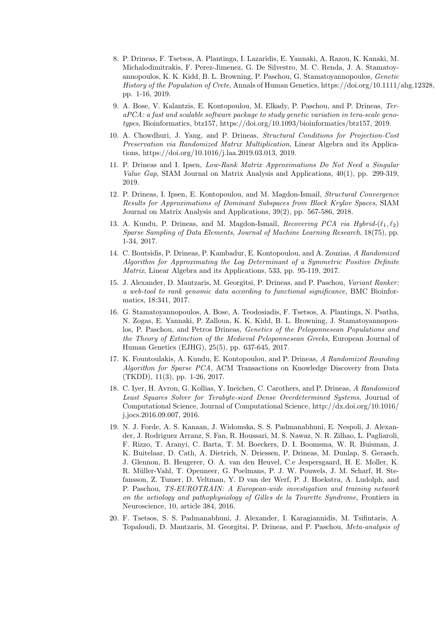- 8. P. Drineas, F. Tsetsos, A. Plantinga, I. Lazaridis, E. Yannaki, A. Razou, K. Kanaki, M. Michalodimitrakis, F. Perez-Jimenez, G. De Silvestro, M. C. Renda, J. A. Stamatoyannopoulos, K. K. Kidd, B. L. Browning, P. Paschou, G. Stamatoyannopoulos, Genetic History of the Population of Crete, Annals of Human Genetics, https://doi.org/10.1111/ahg.12328, pp. 1-16, 2019.
- 9. A. Bose, V. Kalantzis, E. Kontopoulou, M. Elkady, P. Paschou, and P. Drineas, TeraPCA: a fast and scalable software package to study genetic variation in tera-scale genotypes, Bioinformatics, btz157, https://doi.org/10.1093/bioinformatics/btz157, 2019.
- 10. A. Chowdhuri, J. Yang, and P. Drineas, Structural Conditions for Projection-Cost Preservation via Randomized Matrix Multiplication, Linear Algebra and its Applications, https://doi.org/10.1016/j.laa.2019.03.013, 2019.
- 11. P. Drineas and I. Ipsen, Low-Rank Matrix Approximations Do Not Need a Singular Value Gap, SIAM Journal on Matrix Analysis and Applications, 40(1), pp. 299-319, 2019.
- 12. P. Drineas, I. Ipsen, E. Kontopoulou, and M. Magdon-Ismail, Structural Convergence Results for Approximations of Dominant Subspaces from Block Krylov Spaces, SIAM Journal on Matrix Analysis and Applications, 39(2), pp. 567-586, 2018.
- 13. A. Kundu, P. Drineas, and M. Magdon-Ismail, Recovering PCA via Hybrid- $(\ell_1, \ell_2)$ Sparse Sampling of Data Elements, Journal of Machine Learning Research, 18(75), pp. 1-34, 2017.
- 14. C. Boutsidis, P. Drineas, P. Kambadur, E. Kontopoulou, and A. Zouzias, A Randomized Algorithm for Approximating the Log Determinant of a Symmetric Positive Definite Matrix, Linear Algebra and its Applications, 533, pp. 95-119, 2017.
- 15. J. Alexander, D. Mantzaris, M. Georgitsi, P. Drineas, and P. Paschou, Variant Ranker: a web-tool to rank genomic data according to functional significance, BMC Bioinformatics, 18:341, 2017.
- 16. G. Stamatoyannopoulos, A. Bose, A. Teodosiadis, F. Tsetsos, A. Plantinga, N. Psatha, N. Zogas, E. Yannaki, P. Zalloua, K. K. Kidd, B. L. Browning, J. Stamatoyannopoulos, P. Paschou, and Petros Drineas, Genetics of the Peloponnesean Populations and the Theory of Extinction of the Medieval Peloponnesean Greeks, European Journal of Human Genetics (EJHG), 25(5), pp. 637-645, 2017.
- 17. K. Fountoulakis, A. Kundu, E. Kontopoulou, and P. Drineas, A Randomized Rounding Algorithm for Sparse PCA, ACM Transactions on Knowledge Discovery from Data (TKDD), 11(3), pp. 1-26, 2017.
- 18. C. Iyer, H. Avron, G. Kollias, Y. Ineichen, C. Carothers, and P. Drineas, A Randomized Least Squares Solver for Terabyte-sized Dense Overdetermined Systems, Journal of Computational Science, Journal of Computational Science, http://dx.doi.org/10.1016/ j.jocs.2016.09.007, 2016.
- 19. N. J. Forde, A. S. Kanaan, J. Widomska, S. S. Padmanabhuni, E. Nespoli, J. Alexander, J. Rodriguez Arranz, S. Fan, R. Houssari, M. S. Nawaz, N. R. Zilhao, L. Pagliaroli, F. Rizzo, T. Aranyi, C. Barta, T. M. Boeckers, D. I. Boomsma, W. R. Buisman, J. K. Buitelaar, D. Cath, A. Dietrich, N. Driessen, P. Drineas, M. Dunlap, S. Gerasch, J. Glennon, B. Hengerer, O. A. van den Heuvel, C.e Jespersgaard, H. E. Moller, K. R. M¨uller-Vahl, T. Openneer, G. Poelmans, P. J. W. Pouwels, J. M. Scharf, H. Stefansson, Z. Tumer, D. Veltman, Y. D van der Werf, P. J. Hoekstra, A. Ludolph, and P. Paschou, TS-EUROTRAIN: A European-wide investigation and training network on the aetiology and pathophysiology of Gilles de la Tourette Syndrome, Frontiers in Neuroscience, 10, article 384, 2016.
- 20. F. Tsetsos, S. S. Padmanabhuni, J. Alexander, I. Karagiannidis, M. Tsifintaris, A. Topaloudi, D. Mantzaris, M. Georgitsi, P. Drineas, and P. Paschou, Meta-analysis of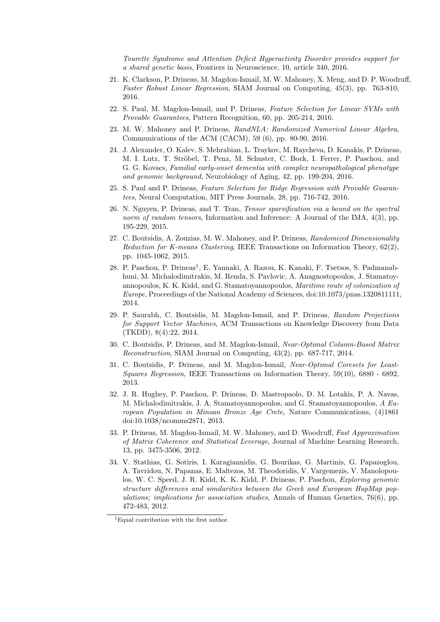Tourette Syndrome and Attention Deficit Hyperactivity Disorder provides support for a shared genetic basis, Frontiers in Neuroscience, 10, article 340, 2016.

- 21. K. Clarkson, P. Drineas, M. Magdon-Ismail, M. W. Mahoney, X. Meng, and D. P. Woodruff, Faster Robust Linear Regression, SIAM Journal on Computing, 45(3), pp. 763-810, 2016.
- 22. S. Paul, M. Magdon-Ismail, and P. Drineas, Feature Selection for Linear SVMs with Provable Guarantees, Pattern Recognition, 60, pp. 205-214, 2016.
- 23. M. W. Mahoney and P. Drineas, RandNLA: Randomized Numerical Linear Algebra, Communications of the ACM (CACM), 59 (6), pp. 80-90, 2016.
- 24. J. Alexander, O. Kalev, S. Mehrabian, L. Traykov, M. Raycheva, D. Kanakis, P. Drineas, M. I. Lutz, T. Ströbel, T. Penz, M. Schuster, C. Bock, I. Ferrer, P. Paschou, and G. G. Kovacs, Familial early-onset dementia with complex neuropathological phenotype and genomic background, Neurobiology of Aging, 42, pp. 199-204, 2016.
- 25. S. Paul and P. Drineas, Feature Selection for Ridge Regression with Provable Guarantees, Neural Computation, MIT Press Journals, 28, pp. 716-742, 2016.
- 26. N. Nguyen, P. Drineas, and T. Tran, Tensor sparsification via a bound on the spectral norm of random tensors, Information and Inference: A Journal of the IMA,  $4(3)$ , pp. 195-229, 2015.
- 27. C. Boutsidis, A. Zouzias, M. W. Mahoney, and P. Drineas, Randomized Dimensionality Reduction for K-means Clustering, IEEE Transactions on Information Theory, 62(2), pp. 1045-1062, 2015.
- 28. P. Paschou, P. Drineas<sup>1</sup>, E. Yannaki, A. Razou, K. Kanaki, F. Tsetsos, S. Padmanabhuni, M. Michalodimitrakis, M. Renda, S. Pavlovic, A. Anagnostopoulos, J. Stamatoyannopoulos, K. K. Kidd, and G. Stamatoyannopoulos, Maritime route of colonization of Europe, Proceedings of the National Academy of Sciences, doi:10.1073/pnas.1320811111, 2014.
- 29. P. Saurabh, C. Boutsidis, M. Magdon-Ismail, and P. Drineas, Random Projections for Support Vector Machines, ACM Transactions on Knowledge Discovery from Data (TKDD), 8(4):22, 2014.
- 30. C. Boutsidis, P. Drineas, and M. Magdon-Ismail, Near-Optimal Column-Based Matrix Reconstruction, SIAM Journal on Computing, 43(2), pp. 687-717, 2014.
- 31. C. Boutsidis, P. Drineas, and M. Magdon-Ismail, Near-Optimal Coresets for Least-Squares Regression, IEEE Transactions on Information Theory, 59(10), 6880 - 6892, 2013.
- 32. J. R. Hughey, P. Paschou, P. Drineas, D. Mastropaolo, D. M. Lotakis, P. A. Navas, M. Michalodimitrakis, J. A. Stamatoyannopoulos, and G. Stamatoyannopoulos, A European Population in Minoan Bronze Age Crete, Nature Communications, (4)1861 doi:10.1038/ncomms2871, 2013.
- 33. P. Drineas, M. Magdon-Ismail, M. W. Mahoney, and D. Woodruff, Fast Approximation of Matrix Coherence and Statistical Leverage, Journal of Machine Learning Research, 13, pp. 3475-3506, 2012.
- 34. V. Stathias, G. Sotiris, I. Karagiannidis, G. Bourikas, G. Martinis, G. Papazoglou, A. Tavridou, N. Papanas, E. Maltezos, M. Theodoridis, V. Vargemezis, V. Manolopoulos, W. C. Speed, J. R. Kidd, K. K. Kidd, P. Drineas, P. Paschou, Exploring genomic structure differences and similarities between the Greek and European HapMap populations; implications for association studies, Annals of Human Genetics,  $76(6)$ , pp. 472-483, 2012.

<sup>1</sup>Equal contribution with the first author.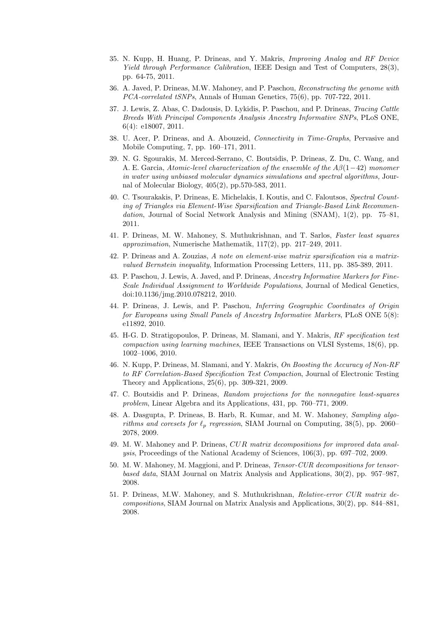- 35. N. Kupp, H. Huang, P. Drineas, and Y. Makris, Improving Analog and RF Device Yield through Performance Calibration, IEEE Design and Test of Computers, 28(3), pp. 64-75, 2011.
- 36. A. Javed, P. Drineas, M.W. Mahoney, and P. Paschou, Reconstructing the genome with PCA-correlated tSNPs, Annals of Human Genetics, 75(6), pp. 707-722, 2011.
- 37. J. Lewis, Z. Abas, C. Dadousis, D. Lykidis, P. Paschou, and P. Drineas, Tracing Cattle Breeds With Principal Components Analysis Ancestry Informative SNPs, PLoS ONE, 6(4): e18007, 2011.
- 38. U. Acer, P. Drineas, and A. Abouzeid, Connectivity in Time-Graphs, Pervasive and Mobile Computing, 7, pp. 160–171, 2011.
- 39. N. G. Sgourakis, M. Merced-Serrano, C. Boutsidis, P. Drineas, Z. Du, C. Wang, and A. E. Garcia, Atomic-level characterization of the ensemble of the Aβ(1−42) monomer in water using unbiased molecular dynamics simulations and spectral algorithms, Journal of Molecular Biology, 405(2), pp.570-583, 2011.
- 40. C. Tsourakakis, P. Drineas, E. Michelakis, I. Koutis, and C. Faloutsos, Spectral Counting of Triangles via Element-Wise Sparsification and Triangle-Based Link Recommendation, Journal of Social Network Analysis and Mining (SNAM), 1(2), pp. 75–81, 2011.
- 41. P. Drineas, M. W. Mahoney, S. Muthukrishnan, and T. Sarlos, Faster least squares approximation, Numerische Mathematik, 117(2), pp. 217–249, 2011.
- 42. P. Drineas and A. Zouzias, A note on element-wise matrix sparsification via a matrixvalued Bernstein inequality, Information Processing Letters, 111, pp. 385-389, 2011.
- 43. P. Paschou, J. Lewis, A. Javed, and P. Drineas, Ancestry Informative Markers for Fine-Scale Individual Assignment to Worldwide Populations, Journal of Medical Genetics, doi:10.1136/jmg.2010.078212, 2010.
- 44. P. Drineas, J. Lewis, and P. Paschou, Inferring Geographic Coordinates of Origin for Europeans using Small Panels of Ancestry Informative Markers, PLoS ONE 5(8): e11892, 2010.
- 45. H-G. D. Stratigopoulos, P. Drineas, M. Slamani, and Y. Makris, RF specification test compaction using learning machines, IEEE Transactions on VLSI Systems, 18(6), pp. 1002–1006, 2010.
- 46. N. Kupp, P. Drineas, M. Slamani, and Y. Makris, On Boosting the Accuracy of Non-RF to RF Correlation-Based Specification Test Compaction, Journal of Electronic Testing Theory and Applications, 25(6), pp. 309-321, 2009.
- 47. C. Boutsidis and P. Drineas, Random projections for the nonnegative least-squares problem, Linear Algebra and its Applications, 431, pp. 760–771, 2009.
- 48. A. Dasgupta, P. Drineas, B. Harb, R. Kumar, and M. W. Mahoney, Sampling algorithms and coresets for  $\ell_p$  regression, SIAM Journal on Computing, 38(5), pp. 2060– 2078, 2009.
- 49. M. W. Mahoney and P. Drineas, CUR matrix decompositions for improved data analysis, Proceedings of the National Academy of Sciences, 106(3), pp. 697–702, 2009.
- 50. M. W. Mahoney, M. Maggioni, and P. Drineas, Tensor-CUR decompositions for tensorbased data, SIAM Journal on Matrix Analysis and Applications, 30(2), pp. 957–987, 2008.
- 51. P. Drineas, M.W. Mahoney, and S. Muthukrishnan, Relative-error CUR matrix decompositions, SIAM Journal on Matrix Analysis and Applications, 30(2), pp. 844–881, 2008.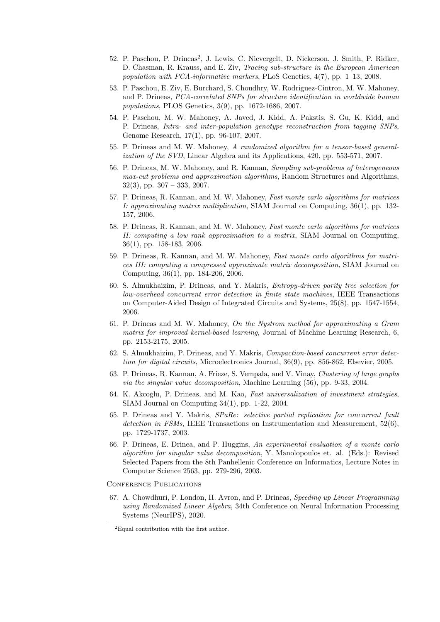- 52. P. Paschou, P. Drineas<sup>2</sup>, J. Lewis, C. Nievergelt, D. Nickerson, J. Smith, P. Ridker, D. Chasman, R. Krauss, and E. Ziv, Tracing sub-structure in the European American population with PCA-informative markers, PLoS Genetics, 4(7), pp. 1–13, 2008.
- 53. P. Paschou, E. Ziv, E. Burchard, S. Choudhry, W. Rodriguez-Cintron, M. W. Mahoney, and P. Drineas, PCA-correlated SNPs for structure identification in worldwide human populations, PLOS Genetics, 3(9), pp. 1672-1686, 2007.
- 54. P. Paschou, M. W. Mahoney, A. Javed, J. Kidd, A. Pakstis, S. Gu, K. Kidd, and P. Drineas, Intra- and inter-population genotype reconstruction from tagging SNPs, Genome Research, 17(1), pp. 96-107, 2007.
- 55. P. Drineas and M. W. Mahoney, A randomized algorithm for a tensor-based generalization of the SVD, Linear Algebra and its Applications, 420, pp. 553-571, 2007.
- 56. P. Drineas, M. W. Mahoney, and R. Kannan, Sampling sub-problems of heterogeneous max-cut problems and approximation algorithms, Random Structures and Algorithms,  $32(3)$ , pp.  $307 - 333$ , 2007.
- 57. P. Drineas, R. Kannan, and M. W. Mahoney, Fast monte carlo algorithms for matrices I: approximating matrix multiplication, SIAM Journal on Computing, 36(1), pp. 132- 157, 2006.
- 58. P. Drineas, R. Kannan, and M. W. Mahoney, Fast monte carlo algorithms for matrices II: computing a low rank approximation to a matrix, SIAM Journal on Computing, 36(1), pp. 158-183, 2006.
- 59. P. Drineas, R. Kannan, and M. W. Mahoney, Fast monte carlo algorithms for matrices III: computing a compressed approximate matrix decomposition, SIAM Journal on Computing, 36(1), pp. 184-206, 2006.
- 60. S. Almukhaizim, P. Drineas, and Y. Makris, Entropy-driven parity tree selection for low-overhead concurrent error detection in finite state machines, IEEE Transactions on Computer-Aided Design of Integrated Circuits and Systems, 25(8), pp. 1547-1554, 2006.
- 61. P. Drineas and M. W. Mahoney, On the Nystrom method for approximating a Gram matrix for improved kernel-based learning, Journal of Machine Learning Research, 6, pp. 2153-2175, 2005.
- 62. S. Almukhaizim, P. Drineas, and Y. Makris, Compaction-based concurrent error detection for digital circuits, Microelectronics Journal, 36(9), pp. 856-862, Elsevier, 2005.
- 63. P. Drineas, R. Kannan, A. Frieze, S. Vempala, and V. Vinay, Clustering of large graphs via the singular value decomposition, Machine Learning (56), pp. 9-33, 2004.
- 64. K. Akcoglu, P. Drineas, and M. Kao, Fast universalization of investment strategies, SIAM Journal on Computing 34(1), pp. 1-22, 2004.
- 65. P. Drineas and Y. Makris, SPaRe: selective partial replication for concurrent fault detection in FSMs, IEEE Transactions on Instrumentation and Measurement, 52(6), pp. 1729-1737, 2003.
- 66. P. Drineas, E. Drinea, and P. Huggins, An experimental evaluation of a monte carlo algorithm for singular value decomposition, Y. Manolopoulos et. al. (Eds.): Revised Selected Papers from the 8th Panhellenic Conference on Informatics, Lecture Notes in Computer Science 2563, pp. 279-296, 2003.
- Conference Publications
- 67. A. Chowdhuri, P. London, H. Avron, and P. Drineas, Speeding up Linear Programming using Randomized Linear Algebra, 34th Conference on Neural Information Processing Systems (NeurIPS), 2020.

<sup>2</sup>Equal contribution with the first author.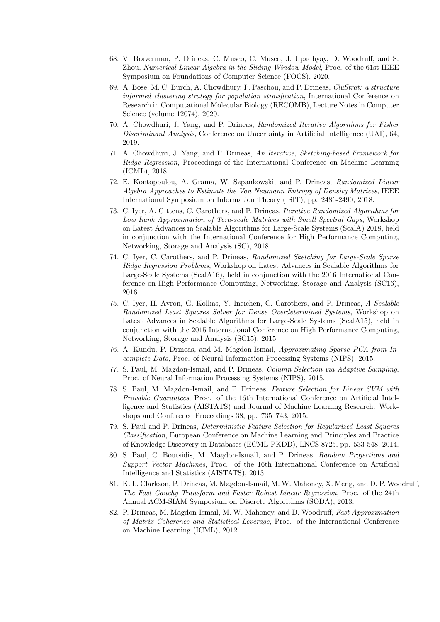- 68. V. Braverman, P. Drineas, C. Musco, C. Musco, J. Upadhyay, D. Woodruff, and S. Zhou, Numerical Linear Algebra in the Sliding Window Model, Proc. of the 61st IEEE Symposium on Foundations of Computer Science (FOCS), 2020.
- 69. A. Bose, M. C. Burch, A. Chowdhury, P. Paschou, and P. Drineas, CluStrat: a structure informed clustering strategy for population stratification, International Conference on Research in Computational Molecular Biology (RECOMB), Lecture Notes in Computer Science (volume 12074), 2020.
- 70. A. Chowdhuri, J. Yang, and P. Drineas, Randomized Iterative Algorithms for Fisher Discriminant Analysis, Conference on Uncertainty in Artificial Intelligence (UAI), 64, 2019.
- 71. A. Chowdhuri, J. Yang, and P. Drineas, An Iterative, Sketching-based Framework for Ridge Regression, Proceedings of the International Conference on Machine Learning (ICML), 2018.
- 72. E. Kontopoulou, A. Grama, W. Szpankowski, and P. Drineas, Randomized Linear Algebra Approaches to Estimate the Von Neumann Entropy of Density Matrices, IEEE International Symposium on Information Theory (ISIT), pp. 2486-2490, 2018.
- 73. C. Iyer, A. Gittens, C. Carothers, and P. Drineas, Iterative Randomized Algorithms for Low Rank Approximation of Tera-scale Matrices with Small Spectral Gaps, Workshop on Latest Advances in Scalable Algorithms for Large-Scale Systems (ScalA) 2018, held in conjunction with the International Conference for High Performance Computing, Networking, Storage and Analysis (SC), 2018.
- 74. C. Iyer, C. Carothers, and P. Drineas, Randomized Sketching for Large-Scale Sparse Ridge Regression Problems, Workshop on Latest Advances in Scalable Algorithms for Large-Scale Systems (ScalA16), held in conjunction with the 2016 International Conference on High Performance Computing, Networking, Storage and Analysis (SC16), 2016.
- 75. C. Iyer, H. Avron, G. Kollias, Y. Ineichen, C. Carothers, and P. Drineas, A Scalable Randomized Least Squares Solver for Dense Overdetermined Systems, Workshop on Latest Advances in Scalable Algorithms for Large-Scale Systems (ScalA15), held in conjunction with the 2015 International Conference on High Performance Computing, Networking, Storage and Analysis (SC15), 2015.
- 76. A. Kundu, P. Drineas, and M. Magdon-Ismail, Approximating Sparse PCA from Incomplete Data, Proc. of Neural Information Processing Systems (NIPS), 2015.
- 77. S. Paul, M. Magdon-Ismail, and P. Drineas, Column Selection via Adaptive Sampling, Proc. of Neural Information Processing Systems (NIPS), 2015.
- 78. S. Paul, M. Magdon-Ismail, and P. Drineas, Feature Selection for Linear SVM with Provable Guarantees, Proc. of the 16th International Conference on Artificial Intelligence and Statistics (AISTATS) and Journal of Machine Learning Research: Workshops and Conference Proceedings 38, pp. 735–743, 2015.
- 79. S. Paul and P. Drineas, Deterministic Feature Selection for Regularized Least Squares Classification, European Conference on Machine Learning and Principles and Practice of Knowledge Discovery in Databases (ECML-PKDD), LNCS 8725, pp. 533-548, 2014.
- 80. S. Paul, C. Boutsidis, M. Magdon-Ismail, and P. Drineas, Random Projections and Support Vector Machines, Proc. of the 16th International Conference on Artificial Intelligence and Statistics (AISTATS), 2013.
- 81. K. L. Clarkson, P. Drineas, M. Magdon-Ismail, M. W. Mahoney, X. Meng, and D. P. Woodruff, The Fast Cauchy Transform and Faster Robust Linear Regression, Proc. of the 24th Annual ACM-SIAM Symposium on Discrete Algorithms (SODA), 2013.
- 82. P. Drineas, M. Magdon-Ismail, M. W. Mahoney, and D. Woodruff, Fast Approximation of Matrix Coherence and Statistical Leverage, Proc. of the International Conference on Machine Learning (ICML), 2012.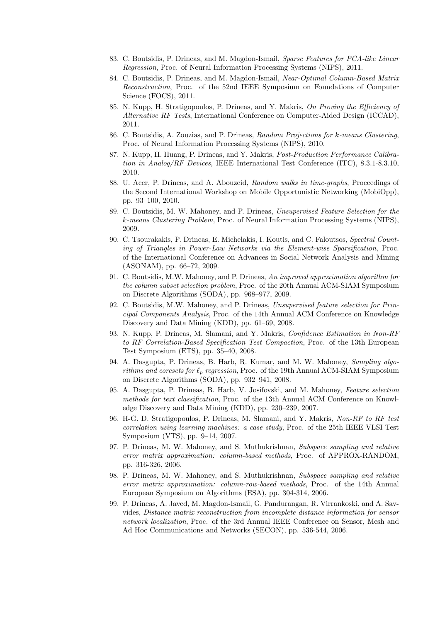- 83. C. Boutsidis, P. Drineas, and M. Magdon-Ismail, Sparse Features for PCA-like Linear Regression, Proc. of Neural Information Processing Systems (NIPS), 2011.
- 84. C. Boutsidis, P. Drineas, and M. Magdon-Ismail, Near-Optimal Column-Based Matrix Reconstruction, Proc. of the 52nd IEEE Symposium on Foundations of Computer Science (FOCS), 2011.
- 85. N. Kupp, H. Stratigopoulos, P. Drineas, and Y. Makris, On Proving the Efficiency of Alternative RF Tests, International Conference on Computer-Aided Design (ICCAD), 2011.
- 86. C. Boutsidis, A. Zouzias, and P. Drineas, Random Projections for k-means Clustering, Proc. of Neural Information Processing Systems (NIPS), 2010.
- 87. N. Kupp, H. Huang, P. Drineas, and Y. Makris, Post-Production Performance Calibration in Analog/RF Devices, IEEE International Test Conference (ITC), 8.3.1-8.3.10, 2010.
- 88. U. Acer, P. Drineas, and A. Abouzeid, Random walks in time-graphs, Proceedings of the Second International Workshop on Mobile Opportunistic Networking (MobiOpp), pp. 93–100, 2010.
- 89. C. Boutsidis, M. W. Mahoney, and P. Drineas, Unsupervised Feature Selection for the k-means Clustering Problem, Proc. of Neural Information Processing Systems (NIPS), 2009.
- 90. C. Tsourakakis, P. Drineas, E. Michelakis, I. Koutis, and C. Faloutsos, Spectral Counting of Triangles in Power-Law Networks via the Element-wise Sparsification, Proc. of the International Conference on Advances in Social Network Analysis and Mining (ASONAM), pp. 66–72, 2009.
- 91. C. Boutsidis, M.W. Mahoney, and P. Drineas, An improved approximation algorithm for the column subset selection problem, Proc. of the 20th Annual ACM-SIAM Symposium on Discrete Algorithms (SODA), pp. 968–977, 2009.
- 92. C. Boutsidis, M.W. Mahoney, and P. Drineas, Unsupervised feature selection for Principal Components Analysis, Proc. of the 14th Annual ACM Conference on Knowledge Discovery and Data Mining (KDD), pp. 61–69, 2008.
- 93. N. Kupp, P. Drineas, M. Slamani, and Y. Makris, Confidence Estimation in Non-RF to RF Correlation-Based Specification Test Compaction, Proc. of the 13th European Test Symposium (ETS), pp. 35–40, 2008.
- 94. A. Dasgupta, P. Drineas, B. Harb, R. Kumar, and M. W. Mahoney, Sampling algorithms and coresets for  $\ell_p$  regression, Proc. of the 19th Annual ACM-SIAM Symposium on Discrete Algorithms (SODA), pp. 932–941, 2008.
- 95. A. Dasgupta, P. Drineas, B. Harb, V. Josifovski, and M. Mahoney, Feature selection methods for text classification, Proc. of the 13th Annual ACM Conference on Knowledge Discovery and Data Mining (KDD), pp. 230–239, 2007.
- 96. H-G. D. Stratigopoulos, P. Drineas, M. Slamani, and Y. Makris, Non-RF to RF test correlation using learning machines: a case study, Proc. of the 25th IEEE VLSI Test Symposium (VTS), pp. 9–14, 2007.
- 97. P. Drineas, M. W. Mahoney, and S. Muthukrishnan, Subspace sampling and relative error matrix approximation: column-based methods, Proc. of APPROX-RANDOM, pp. 316-326, 2006.
- 98. P. Drineas, M. W. Mahoney, and S. Muthukrishnan, Subspace sampling and relative error matrix approximation: column-row-based methods, Proc. of the 14th Annual European Symposium on Algorithms (ESA), pp. 304-314, 2006.
- 99. P. Drineas, A. Javed, M. Magdon-Ismail, G. Pandurangan, R. Virrankoski, and A. Savvides, Distance matrix reconstruction from incomplete distance information for sensor network localization, Proc. of the 3rd Annual IEEE Conference on Sensor, Mesh and Ad Hoc Communications and Networks (SECON), pp. 536-544, 2006.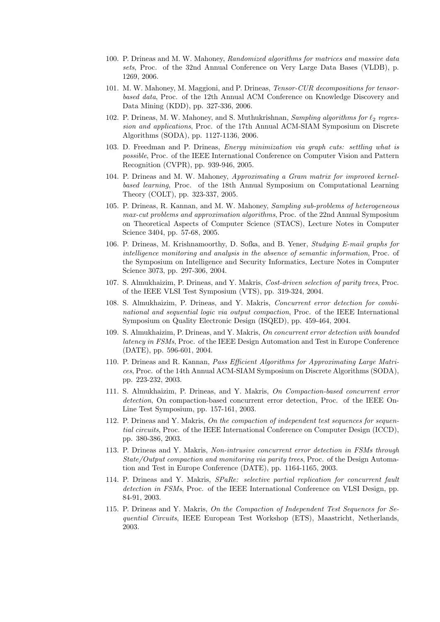- 100. P. Drineas and M. W. Mahoney, Randomized algorithms for matrices and massive data sets, Proc. of the 32nd Annual Conference on Very Large Data Bases (VLDB), p. 1269, 2006.
- 101. M. W. Mahoney, M. Maggioni, and P. Drineas, Tensor-CUR decompositions for tensorbased data, Proc. of the 12th Annual ACM Conference on Knowledge Discovery and Data Mining (KDD), pp. 327-336, 2006.
- 102. P. Drineas, M. W. Mahoney, and S. Muthukrishnan, Sampling algorithms for  $\ell_2$  regression and applications, Proc. of the 17th Annual ACM-SIAM Symposium on Discrete Algorithms (SODA), pp. 1127-1136, 2006.
- 103. D. Freedman and P. Drineas, Energy minimization via graph cuts: settling what is possible, Proc. of the IEEE International Conference on Computer Vision and Pattern Recognition (CVPR), pp. 939-946, 2005.
- 104. P. Drineas and M. W. Mahoney, Approximating a Gram matrix for improved kernelbased learning, Proc. of the 18th Annual Symposium on Computational Learning Theory (COLT), pp. 323-337, 2005.
- 105. P. Drineas, R. Kannan, and M. W. Mahoney, Sampling sub-problems of heterogeneous max-cut problems and approximation algorithms, Proc. of the 22nd Annual Symposium on Theoretical Aspects of Computer Science (STACS), Lecture Notes in Computer Science 3404, pp. 57-68, 2005.
- 106. P. Drineas, M. Krishnamoorthy, D. Sofka, and B. Yener, Studying E-mail graphs for intelligence monitoring and analysis in the absence of semantic information, Proc. of the Symposium on Intelligence and Security Informatics, Lecture Notes in Computer Science 3073, pp. 297-306, 2004.
- 107. S. Almukhaizim, P. Drineas, and Y. Makris, Cost-driven selection of parity trees, Proc. of the IEEE VLSI Test Symposium (VTS), pp. 319-324, 2004.
- 108. S. Almukhaizim, P. Drineas, and Y. Makris, Concurrent error detection for combinational and sequential logic via output compaction, Proc. of the IEEE International Symposium on Quality Electronic Design (ISQED), pp. 459-464, 2004.
- 109. S. Almukhaizim, P. Drineas, and Y. Makris, On concurrent error detection with bounded latency in FSMs, Proc. of the IEEE Design Automation and Test in Europe Conference (DATE), pp. 596-601, 2004.
- 110. P. Drineas and R. Kannan, Pass Efficient Algorithms for Approximating Large Matrices, Proc. of the 14th Annual ACM-SIAM Symposium on Discrete Algorithms (SODA), pp. 223-232, 2003.
- 111. S. Almukhaizim, P. Drineas, and Y. Makris, On Compaction-based concurrent error detection, On compaction-based concurrent error detection, Proc. of the IEEE On-Line Test Symposium, pp. 157-161, 2003.
- 112. P. Drineas and Y. Makris, On the compaction of independent test sequences for sequential circuits, Proc. of the IEEE International Conference on Computer Design (ICCD), pp. 380-386, 2003.
- 113. P. Drineas and Y. Makris, Non-intrusive concurrent error detection in FSMs through State/Output compaction and monitoring via parity trees, Proc. of the Design Automation and Test in Europe Conference (DATE), pp. 1164-1165, 2003.
- 114. P. Drineas and Y. Makris, SPaRe: selective partial replication for concurrent fault detection in FSMs, Proc. of the IEEE International Conference on VLSI Design, pp. 84-91, 2003.
- 115. P. Drineas and Y. Makris, On the Compaction of Independent Test Sequences for Sequential Circuits, IEEE European Test Workshop (ETS), Maastricht, Netherlands, 2003.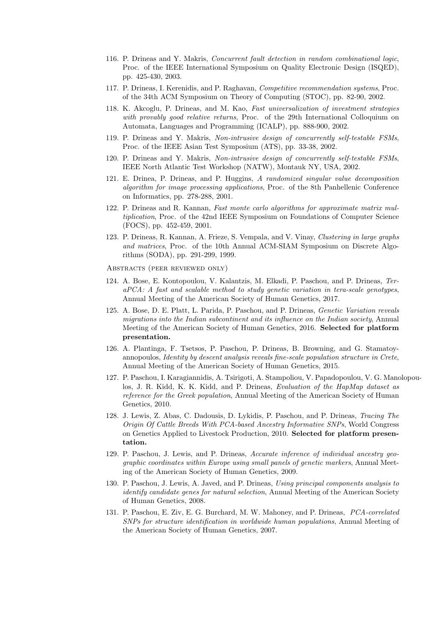- 116. P. Drineas and Y. Makris, Concurrent fault detection in random combinational logic, Proc. of the IEEE International Symposium on Quality Electronic Design (ISQED), pp. 425-430, 2003.
- 117. P. Drineas, I. Kerenidis, and P. Raghavan, Competitive recommendation systems, Proc. of the 34th ACM Symposium on Theory of Computing (STOC), pp. 82-90, 2002.
- 118. K. Akcoglu, P. Drineas, and M. Kao, Fast universalization of investment strategies with provably good relative returns, Proc. of the 29th International Colloquium on Automata, Languages and Programming (ICALP), pp. 888-900, 2002.
- 119. P. Drineas and Y. Makris, Non-intrusive design of concurrently self-testable FSMs, Proc. of the IEEE Asian Test Symposium (ATS), pp. 33-38, 2002.
- 120. P. Drineas and Y. Makris, Non-intrusive design of concurrently self-testable FSMs, IEEE North Atlantic Test Workshop (NATW), Montauk NY, USA, 2002.
- 121. E. Drinea, P. Drineas, and P. Huggins, A randomized singular value decomposition algorithm for image processing applications, Proc. of the 8th Panhellenic Conference on Informatics, pp. 278-288, 2001.
- 122. P. Drineas and R. Kannan, Fast monte carlo algorithms for approximate matrix multiplication, Proc. of the 42nd IEEE Symposium on Foundations of Computer Science (FOCS), pp. 452-459, 2001.
- 123. P. Drineas, R. Kannan, A. Frieze, S. Vempala, and V. Vinay, Clustering in large graphs and matrices, Proc. of the 10th Annual ACM-SIAM Symposium on Discrete Algorithms (SODA), pp. 291-299, 1999.

Abstracts (peer reviewed only)

- 124. A. Bose, E. Kontopoulou, V. Kalantzis, M. Elkadi, P. Paschou, and P. Drineas, TeraPCA: A fast and scalable method to study genetic variation in tera-scale genotypes, Annual Meeting of the American Society of Human Genetics, 2017.
- 125. A. Bose, D. E. Platt, L. Parida, P. Paschou, and P. Drineas, Genetic Variation reveals migrations into the Indian subcontinent and its influence on the Indian society, Annual Meeting of the American Society of Human Genetics, 2016. Selected for platform presentation.
- 126. A. Plantinga, F. Tsetsos, P. Paschou, P. Drineas, B. Browning, and G. Stamatoyannopoulos, Identity by descent analysis reveals fine-scale population structure in Crete, Annual Meeting of the American Society of Human Genetics, 2015.
- 127. P. Paschou, I. Karagiannidis, A. Tsirigoti, A. Stampoliou, V. Papadopoulou, V. G. Manolopoulos, J. R. Kidd, K. K. Kidd, and P. Drineas, Evaluation of the HapMap dataset as reference for the Greek population, Annual Meeting of the American Society of Human Genetics, 2010.
- 128. J. Lewis, Z. Abas, C. Dadousis, D. Lykidis, P. Paschou, and P. Drineas, Tracing The Origin Of Cattle Breeds With PCA-based Ancestry Informative SNPs, World Congress on Genetics Applied to Livestock Production, 2010. Selected for platform presentation.
- 129. P. Paschou, J. Lewis, and P. Drineas, Accurate inference of individual ancestry geographic coordinates within Europe using small panels of genetic markers, Annual Meeting of the American Society of Human Genetics, 2009.
- 130. P. Paschou, J. Lewis, A. Javed, and P. Drineas, Using principal components analysis to identify candidate genes for natural selection, Annual Meeting of the American Society of Human Genetics, 2008.
- 131. P. Paschou, E. Ziv, E. G. Burchard, M. W. Mahoney, and P. Drineas, PCA-correlated SNPs for structure identification in worldwide human populations, Annual Meeting of the American Society of Human Genetics, 2007.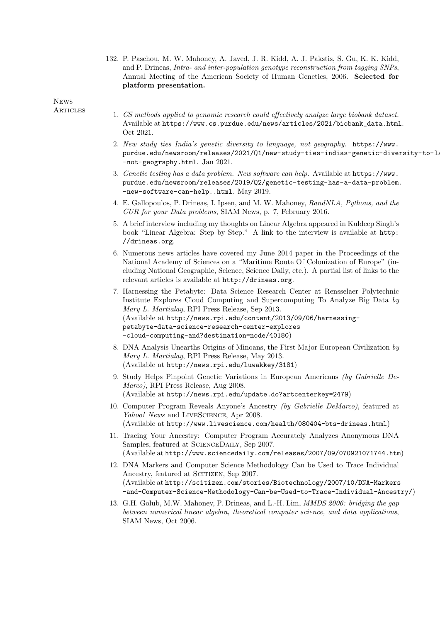132. P. Paschou, M. W. Mahoney, A. Javed, J. R. Kidd, A. J. Pakstis, S. Gu, K. K. Kidd, and P. Drineas, Intra- and inter-population genotype reconstruction from tagging SNPs, Annual Meeting of the American Society of Human Genetics, 2006. Selected for platform presentation.

News

- ARTICLES 1. CS methods applied to genomic research could effectively analyze large biobank dataset. Available at https://www.cs.purdue.edu/news/articles/2021/biobank\_data.html. Oct 2021.
	- 2. New study ties India's genetic diversity to language, not geography. https://www. purdue.edu/newsroom/releases/2021/Q1/new-study-ties-indias-genetic-diversity-to-la -not-geography.html. Jan 2021.
	- 3. Genetic testing has a data problem. New software can help. Available at https://www. purdue.edu/newsroom/releases/2019/Q2/genetic-testing-has-a-data-problem. -new-software-can-help..html. May 2019.
	- 4. E. Gallopoulos, P. Drineas, I. Ipsen, and M. W. Mahoney, RandNLA, Pythons, and the CUR for your Data problems, SIAM News, p. 7, February 2016.
	- 5. A brief interview including my thoughts on Linear Algebra appeared in Kuldeep Singh's book "Linear Algebra: Step by Step." A link to the interview is available at http: //drineas.org.
	- 6. Numerous news articles have covered my June 2014 paper in the Proceedings of the National Academy of Sciences on a "Maritime Route Of Colonization of Europe" (including National Geographic, Science, Science Daily, etc.). A partial list of links to the relevant articles is available at http://drineas.org.
	- 7. Harnessing the Petabyte: Data Science Research Center at Rensselaer Polytechnic Institute Explores Cloud Computing and Supercomputing To Analyze Big Data by Mary L. Martialay, RPI Press Release, Sep 2013. (Available at http://news.rpi.edu/content/2013/09/06/harnessingpetabyte-data-science-research-center-explores -cloud-computing-and?destination=node/40180)
	- 8. DNA Analysis Unearths Origins of Minoans, the First Major European Civilization by Mary L. Martialay, RPI Press Release, May 2013. (Available at http://news.rpi.edu/luwakkey/3181)
	- 9. Study Helps Pinpoint Genetic Variations in European Americans (by Gabrielle De-Marco), RPI Press Release, Aug 2008. (Available at http://news.rpi.edu/update.do?artcenterkey=2479)
	- 10. Computer Program Reveals Anyone's Ancestry (by Gabrielle DeMarco), featured at Yahoo! News and LIVESCIENCE, Apr 2008. (Available at http://www.livescience.com/health/080404-bts-drineas.html)
	- 11. Tracing Your Ancestry: Computer Program Accurately Analyzes Anonymous DNA Samples, featured at SCIENCEDAILY, Sep 2007. (Available at http://www.sciencedaily.com/releases/2007/09/070921071744.htm)
	- 12. DNA Markers and Computer Science Methodology Can be Used to Trace Individual Ancestry, featured at SCITIZEN, Sep 2007. (Available at http://scitizen.com/stories/Biotechnology/2007/10/DNA-Markers -and-Computer-Science-Methodology-Can-be-Used-to-Trace-Individual-Ancestry/)
	- 13. G.H. Golub, M.W. Mahoney, P. Drineas, and L.-H. Lim, MMDS 2006: bridging the gap between numerical linear algebra, theoretical computer science, and data applications, SIAM News, Oct 2006.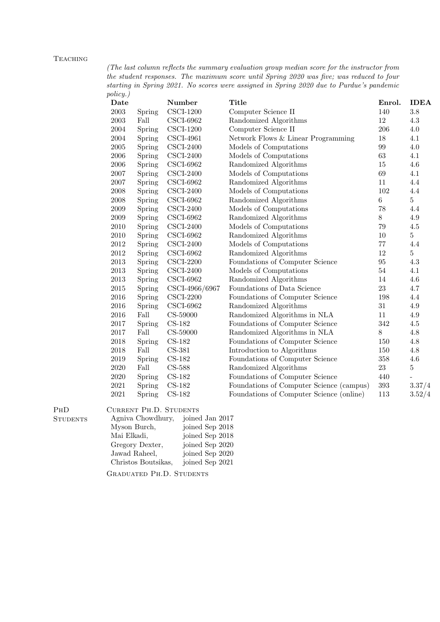## **TEACHING**

(The last column reflects the summary evaluation group median score for the instructor from the student responses. The maximum score until Spring 2020 was five; was reduced to four starting in Spring 2021. No scores were assigned in Spring 2020 due to Purdue's pandemic policy.)

| $\cdots$ $\sigma$ $\cdot$ /<br>Date |        | Number                  | <b>Title</b>                             | Enrol.  | <b>IDEA</b>    |
|-------------------------------------|--------|-------------------------|------------------------------------------|---------|----------------|
| $\,2003\,$                          | Spring | $CSCI-1200$             | Computer Science II                      | 140     | $3.8\,$        |
| 2003                                | Fall   | <b>CSCI-6962</b>        | Randomized Algorithms                    | 12      | $4.3\,$        |
| 2004                                | Spring | $CSCI-1200$             | Computer Science II                      | 206     | $4.0\,$        |
| 2004                                | Spring | $CSCI-4961$             | Network Flows & Linear Programming       | $18\,$  | 4.1            |
| $\,2005\,$                          | Spring | $CSCI-2400$             | Models of Computations                   | 99      | 4.0            |
| 2006                                | Spring | $CSCI-2400$             | Models of Computations                   | 63      | 4.1            |
| 2006                                | Spring | <b>CSCI-6962</b>        | Randomized Algorithms                    | $15\,$  | 4.6            |
| 2007                                | Spring | $CSCI-2400$             | Models of Computations                   | 69      | 4.1            |
| 2007                                | Spring | $CSCI-6962$             | Randomized Algorithms                    | 11      | 4.4            |
| 2008                                | Spring | $CSCI-2400$             | Models of Computations                   | 102     | 4.4            |
| 2008                                | Spring | $\text{CSCI-6962}$      | Randomized Algorithms                    | $\,6\,$ | $\overline{5}$ |
| 2009                                | Spring | $CSCI-2400$             | Models of Computations                   | 78      | 4.4            |
| 2009                                | Spring | $\text{CSCI-6962}$      | Randomized Algorithms                    | 8       | $4.9\,$        |
| 2010                                | Spring | $CSCI-2400$             | Models of Computations                   | $79\,$  | $4.5\,$        |
| 2010                                | Spring | <b>CSCI-6962</b>        | Randomized Algorithms                    | $10\,$  | $\bf 5$        |
| $2012\,$                            | Spring | $CSCI-2400$             | Models of Computations                   | $77\,$  | 4.4            |
| $2012\,$                            | Spring | <b>CSCI-6962</b>        | Randomized Algorithms                    | 12      | $\bf 5$        |
| 2013                                | Spring | $CSCI-2200$             | Foundations of Computer Science          | $95\,$  | 4.3            |
| 2013                                | Spring | $CSCI-2400$             | Models of Computations                   | 54      | 4.1            |
| 2013                                | Spring | $CSCI-6962$             | Randomized Algorithms                    | 14      | 4.6            |
| $\,2015$                            | Spring | CSCI-4966/6967          | Foundations of Data Science              | $23\,$  | 4.7            |
| 2016                                | Spring | $\text{CSCI-2200}$      | Foundations of Computer Science          | 198     | 4.4            |
| 2016                                | Spring | $\text{CSCI-6962}$      | Randomized Algorithms                    | $31\,$  | $4.9\,$        |
| 2016                                | Fall   | CS-59000                | Randomized Algorithms in NLA             | 11      | $4.9\,$        |
| 2017                                | Spring | $CS-182$                | Foundations of Computer Science          | 342     | 4.5            |
| 2017                                | Fall   | CS-59000                | Randomized Algorithms in NLA             | $8\,$   | 4.8            |
| 2018                                | Spring | $CS-182$                | Foundations of Computer Science          | 150     | 4.8            |
| 2018                                | Fall   | CS-381                  | Introduction to Algorithms               | 150     | 4.8            |
| 2019                                | Spring | $CS-182$                | Foundations of Computer Science          | $358\,$ | 4.6            |
| 2020                                | Fall   | $CS-588$                | Randomized Algorithms                    | 23      | $\bf 5$        |
| $2020\,$                            | Spring | $CS-182$                | Foundations of Computer Science          | 440     |                |
| $\,2021$                            | Spring | $\operatorname{CS-182}$ | Foundations of Computer Science (campus) | $393\,$ | 3.37/4         |
| $2021\,$                            | Spring | $CS-182$                | Foundations of Computer Science (online) | 113     | 3.52/4         |

PHD CURRENT PH.D. STUDENTS

| <b>STUDENTS</b> | Agniva Chowdhury,   | joined Jan 2017 |
|-----------------|---------------------|-----------------|
|                 | Myson Burch,        | joined Sep 2018 |
|                 | Mai Elkadi,         | joined Sep 2018 |
|                 | Gregory Dexter,     | joined Sep 2020 |
|                 | Jawad Raheel,       | joined Sep 2020 |
|                 | Christos Boutsikas, | joined Sep 2021 |
|                 |                     |                 |

Graduated Ph.D. Students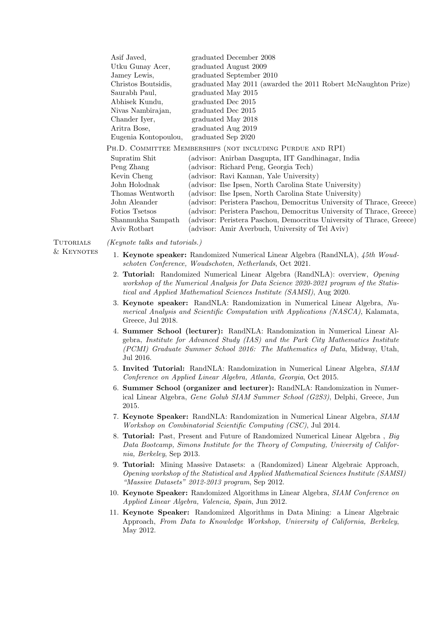| Asif Javed,          | graduated December 2008                                               |
|----------------------|-----------------------------------------------------------------------|
| Utku Gunay Acer,     | graduated August 2009                                                 |
| Jamey Lewis,         | graduated September 2010                                              |
| Christos Boutsidis,  | graduated May 2011 (awarded the 2011 Robert McNaughton Prize)         |
| Saurabh Paul,        | graduated May 2015                                                    |
| Abhisek Kundu,       | graduated Dec 2015                                                    |
| Nivas Nambirajan,    | graduated Dec 2015                                                    |
| Chander Iyer,        | graduated May 2018                                                    |
| Aritra Bose,         | graduated Aug 2019                                                    |
| Eugenia Kontopoulou, | graduated Sep 2020                                                    |
|                      | PH.D. COMMITTEE MEMBERSHIPS (NOT INCLUDING PURDUE AND RPI)            |
| Supratim Shit        | (advisor: Anirban Dasgupta, IIT Gandhinagar, India                    |
| Peng Zhang           | (advisor: Richard Peng, Georgia Tech)                                 |
| Kevin Cheng          | (advisor: Ravi Kannan, Yale University)                               |
| John Holodnak        | (advisor: Ilse Ipsen, North Carolina State University)                |
| Thomas Wentworth     | (advisor: Ilse Ipsen, North Carolina State University)                |
| John Aleander        | (advisor: Peristera Paschou, Democritus University of Thrace, Greece) |
| Fotios Tsetsos       | (advisor: Peristera Paschou, Democritus University of Thrace, Greece) |
| Shanmukha Sampath    | (advisor: Peristera Paschou, Democritus University of Thrace, Greece) |
| Aviv Rotbart         | (advisor: Amir Averbuch, University of Tel Aviv)                      |
|                      |                                                                       |

Tutorials (Keynote talks and tutorials.)

- & KEYNOTES 1. Keynote speaker: Randomized Numerical Linear Algebra (RandNLA), 45th Woudschoten Conference, Woudschoten, Netherlands, Oct 2021.
	- 2. Tutorial: Randomized Numerical Linear Algebra (RandNLA): overview, Opening workshop of the Numerical Analysis for Data Science 2020-2021 program of the Statistical and Applied Mathematical Sciences Institute (SAMSI), Aug 2020.
	- 3. Keynote speaker: RandNLA: Randomization in Numerical Linear Algebra, Numerical Analysis and Scientific Computation with Applications (NASCA), Kalamata, Greece, Jul 2018.
	- 4. Summer School (lecturer): RandNLA: Randomization in Numerical Linear Algebra, Institute for Advanced Study (IAS) and the Park City Mathematics Institute (PCMI) Graduate Summer School 2016: The Mathematics of Data, Midway, Utah, Jul 2016.
	- 5. Invited Tutorial: RandNLA: Randomization in Numerical Linear Algebra, SIAM Conference on Applied Linear Algebra, Atlanta, Georgia, Oct 2015.
	- 6. Summer School (organizer and lecturer): RandNLA: Randomization in Numerical Linear Algebra, Gene Golub SIAM Summer School (G2S3), Delphi, Greece, Jun 2015.
	- 7. Keynote Speaker: RandNLA: Randomization in Numerical Linear Algebra, SIAM Workshop on Combinatorial Scientific Computing (CSC), Jul 2014.
	- 8. Tutorial: Past, Present and Future of Randomized Numerical Linear Algebra , Big Data Bootcamp, Simons Institute for the Theory of Computing, University of California, Berkeley, Sep 2013.
	- 9. Tutorial: Mining Massive Datasets: a (Randomized) Linear Algebraic Approach, Opening workshop of the Statistical and Applied Mathematical Sciences Institute (SAMSI) "Massive Datasets" 2012-2013 program, Sep 2012.
	- 10. Keynote Speaker: Randomized Algorithms in Linear Algebra, SIAM Conference on Applied Linear Algebra, Valencia, Spain, Jun 2012.
	- 11. Keynote Speaker: Randomized Algorithms in Data Mining: a Linear Algebraic Approach, From Data to Knowledge Workshop, University of California, Berkeley, May 2012.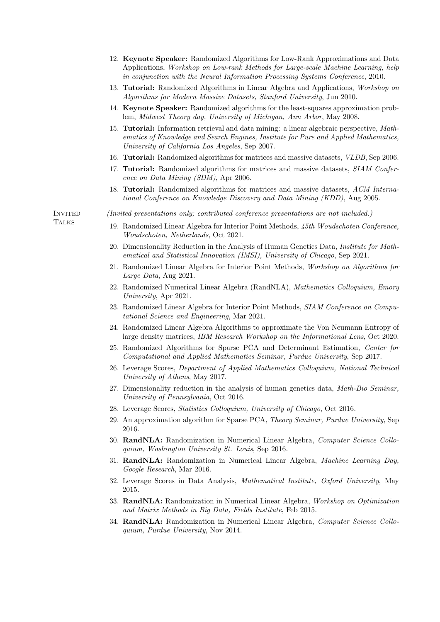- 12. Keynote Speaker: Randomized Algorithms for Low-Rank Approximations and Data Applications, Workshop on Low-rank Methods for Large-scale Machine Learning, help in conjunction with the Neural Information Processing Systems Conference, 2010.
- 13. Tutorial: Randomized Algorithms in Linear Algebra and Applications, Workshop on Algorithms for Modern Massive Datasets, Stanford University, Jun 2010.
- 14. Keynote Speaker: Randomized algorithms for the least-squares approximation problem, Midwest Theory day, University of Michigan, Ann Arbor, May 2008.
- 15. Tutorial: Information retrieval and data mining: a linear algebraic perspective, Mathematics of Knowledge and Search Engines, Institute for Pure and Applied Mathematics, University of California Los Angeles, Sep 2007.
- 16. Tutorial: Randomized algorithms for matrices and massive datasets, VLDB, Sep 2006.
- 17. Tutorial: Randomized algorithms for matrices and massive datasets, SIAM Conference on Data Mining (SDM), Apr 2006.
- 18. Tutorial: Randomized algorithms for matrices and massive datasets, ACM International Conference on Knowledge Discovery and Data Mining (KDD), Aug 2005.

- Invited (Invited presentations only; contributed conference presentations are not included.)
- Talks 19. Randomized Linear Algebra for Interior Point Methods, 45th Woudschoten Conference, Woudschoten, Netherlands, Oct 2021.
	- 20. Dimensionality Reduction in the Analysis of Human Genetics Data, *Institute for Math*ematical and Statistical Innovation (IMSI), University of Chicago, Sep 2021.
	- 21. Randomized Linear Algebra for Interior Point Methods, Workshop on Algorithms for Large Data, Aug 2021.
	- 22. Randomized Numerical Linear Algebra (RandNLA), Mathematics Colloquium, Emory University, Apr 2021.
	- 23. Randomized Linear Algebra for Interior Point Methods, SIAM Conference on Computational Science and Engineering, Mar 2021.
	- 24. Randomized Linear Algebra Algorithms to approximate the Von Neumann Entropy of large density matrices, IBM Research Workshop on the Informational Lens, Oct 2020.
	- 25. Randomized Algorithms for Sparse PCA and Determinant Estimation, Center for Computational and Applied Mathematics Seminar, Purdue University, Sep 2017.
	- 26. Leverage Scores, Department of Applied Mathematics Colloquium, National Technical University of Athens, May 2017.
	- 27. Dimensionality reduction in the analysis of human genetics data, Math-Bio Seminar, University of Pennsylvania, Oct 2016.
	- 28. Leverage Scores, Statistics Colloquium, University of Chicago, Oct 2016.
	- 29. An approximation algorithm for Sparse PCA, Theory Seminar, Purdue University, Sep 2016.
	- 30. RandNLA: Randomization in Numerical Linear Algebra, Computer Science Colloquium, Washington University St. Louis, Sep 2016.
	- 31. RandNLA: Randomization in Numerical Linear Algebra, Machine Learning Day, Google Research, Mar 2016.
	- 32. Leverage Scores in Data Analysis, Mathematical Institute, Oxford University, May 2015.
	- 33. RandNLA: Randomization in Numerical Linear Algebra, Workshop on Optimization and Matrix Methods in Big Data, Fields Institute, Feb 2015.
	- 34. RandNLA: Randomization in Numerical Linear Algebra, Computer Science Colloquium, Purdue University, Nov 2014.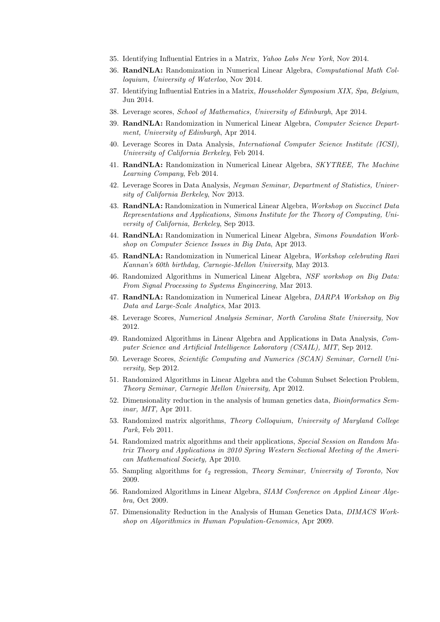- 35. Identifying Influential Entries in a Matrix, Yahoo Labs New York, Nov 2014.
- 36. RandNLA: Randomization in Numerical Linear Algebra, Computational Math Colloquium, University of Waterloo, Nov 2014.
- 37. Identifying Influential Entries in a Matrix, Householder Symposium XIX, Spa, Belgium, Jun 2014.
- 38. Leverage scores, School of Mathematics, University of Edinburgh, Apr 2014.
- 39. RandNLA: Randomization in Numerical Linear Algebra, Computer Science Department, University of Edinburgh, Apr 2014.
- 40. Leverage Scores in Data Analysis, International Computer Science Institute (ICSI), University of California Berkeley, Feb 2014.
- 41. RandNLA: Randomization in Numerical Linear Algebra, SKYTREE, The Machine Learning Company, Feb 2014.
- 42. Leverage Scores in Data Analysis, Neyman Seminar, Department of Statistics, University of California Berkeley, Nov 2013.
- 43. RandNLA: Randomization in Numerical Linear Algebra, Workshop on Succinct Data Representations and Applications, Simons Institute for the Theory of Computing, University of California, Berkeley, Sep 2013.
- 44. RandNLA: Randomization in Numerical Linear Algebra, Simons Foundation Workshop on Computer Science Issues in Big Data, Apr 2013.
- 45. RandNLA: Randomization in Numerical Linear Algebra, Workshop celebrating Ravi Kannan's 60th birthday, Carnegie-Mellon University, May 2013.
- 46. Randomized Algorithms in Numerical Linear Algebra, NSF workshop on Big Data: From Signal Processing to Systems Engineering, Mar 2013.
- 47. RandNLA: Randomization in Numerical Linear Algebra, DARPA Workshop on Big Data and Large-Scale Analytics, Mar 2013.
- 48. Leverage Scores, Numerical Analysis Seminar, North Carolina State University, Nov 2012.
- 49. Randomized Algorithms in Linear Algebra and Applications in Data Analysis, Computer Science and Artificial Intelligence Laboratory (CSAIL), MIT, Sep 2012.
- 50. Leverage Scores, Scientific Computing and Numerics (SCAN) Seminar, Cornell University, Sep 2012.
- 51. Randomized Algorithms in Linear Algebra and the Column Subset Selection Problem, Theory Seminar, Carnegie Mellon University, Apr 2012.
- 52. Dimensionality reduction in the analysis of human genetics data, *Bioinformatics Sem*inar, MIT, Apr 2011.
- 53. Randomized matrix algorithms, Theory Colloquium, University of Maryland College Park, Feb 2011.
- 54. Randomized matrix algorithms and their applications, Special Session on Random Matrix Theory and Applications in 2010 Spring Western Sectional Meeting of the American Mathematical Society, Apr 2010.
- 55. Sampling algorithms for  $\ell_2$  regression, Theory Seminar, University of Toronto, Nov 2009.
- 56. Randomized Algorithms in Linear Algebra, SIAM Conference on Applied Linear Algebra, Oct 2009.
- 57. Dimensionality Reduction in the Analysis of Human Genetics Data, *DIMACS Work*shop on Algorithmics in Human Population-Genomics, Apr 2009.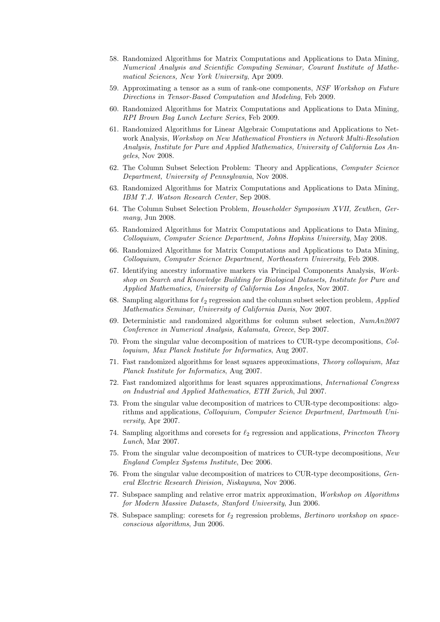- 58. Randomized Algorithms for Matrix Computations and Applications to Data Mining, Numerical Analysis and Scientific Computing Seminar, Courant Institute of Mathematical Sciences, New York University, Apr 2009.
- 59. Approximating a tensor as a sum of rank-one components, NSF Workshop on Future Directions in Tensor-Based Computation and Modeling, Feb 2009.
- 60. Randomized Algorithms for Matrix Computations and Applications to Data Mining, RPI Brown Bag Lunch Lecture Series, Feb 2009.
- 61. Randomized Algorithms for Linear Algebraic Computations and Applications to Network Analysis, Workshop on New Mathematical Frontiers in Network Multi-Resolution Analysis, Institute for Pure and Applied Mathematics, University of California Los Angeles, Nov 2008.
- 62. The Column Subset Selection Problem: Theory and Applications, Computer Science Department, University of Pennsylvania, Nov 2008.
- 63. Randomized Algorithms for Matrix Computations and Applications to Data Mining, IBM T.J. Watson Research Center, Sep 2008.
- 64. The Column Subset Selection Problem, Householder Symposium XVII, Zeuthen, Germany, Jun 2008.
- 65. Randomized Algorithms for Matrix Computations and Applications to Data Mining, Colloquium, Computer Science Department, Johns Hopkins University, May 2008.
- 66. Randomized Algorithms for Matrix Computations and Applications to Data Mining, Colloquium, Computer Science Department, Northeastern University, Feb 2008.
- 67. Identifying ancestry informative markers via Principal Components Analysis, Workshop on Search and Knowledge Building for Biological Datasets, Institute for Pure and Applied Mathematics, University of California Los Angeles, Nov 2007.
- 68. Sampling algorithms for  $\ell_2$  regression and the column subset selection problem, Applied Mathematics Seminar, University of California Davis, Nov 2007.
- 69. Deterministic and randomized algorithms for column subset selection, NumAn2007 Conference in Numerical Analysis, Kalamata, Greece, Sep 2007.
- 70. From the singular value decomposition of matrices to CUR-type decompositions, Colloquium, Max Planck Institute for Informatics, Aug 2007.
- 71. Fast randomized algorithms for least squares approximations, Theory colloquium, Max Planck Institute for Informatics, Aug 2007.
- 72. Fast randomized algorithms for least squares approximations, International Congress on Industrial and Applied Mathematics, ETH Zurich, Jul 2007.
- 73. From the singular value decomposition of matrices to CUR-type decompositions: algorithms and applications, Colloquium, Computer Science Department, Dartmouth University, Apr 2007.
- 74. Sampling algorithms and coresets for  $\ell_2$  regression and applications, *Princeton Theory* Lunch, Mar 2007.
- 75. From the singular value decomposition of matrices to CUR-type decompositions, New England Complex Systems Institute, Dec 2006.
- 76. From the singular value decomposition of matrices to CUR-type decompositions, General Electric Research Division, Niskayuna, Nov 2006.
- 77. Subspace sampling and relative error matrix approximation, Workshop on Algorithms for Modern Massive Datasets, Stanford University, Jun 2006.
- 78. Subspace sampling: coresets for  $\ell_2$  regression problems, Bertinoro workshop on spaceconscious algorithms, Jun 2006.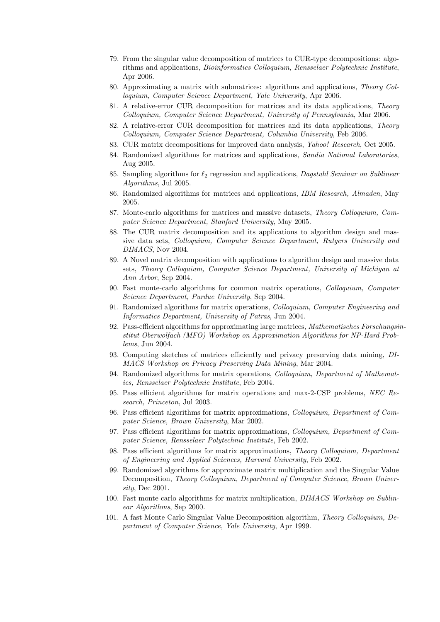- 79. From the singular value decomposition of matrices to CUR-type decompositions: algorithms and applications, Bioinformatics Colloquium, Rensselaer Polytechnic Institute, Apr 2006.
- 80. Approximating a matrix with submatrices: algorithms and applications, Theory Colloquium, Computer Science Department, Yale University, Apr 2006.
- 81. A relative-error CUR decomposition for matrices and its data applications, Theory Colloquium, Computer Science Department, University of Pennsylvania, Mar 2006.
- 82. A relative-error CUR decomposition for matrices and its data applications, Theory Colloquium, Computer Science Department, Columbia University, Feb 2006.
- 83. CUR matrix decompositions for improved data analysis, Yahoo! Research, Oct 2005.
- 84. Randomized algorithms for matrices and applications, Sandia National Laboratories, Aug 2005.
- 85. Sampling algorithms for  $\ell_2$  regression and applications, *Dagstuhl Seminar on Sublinear* Algorithms, Jul 2005.
- 86. Randomized algorithms for matrices and applications, IBM Research, Almaden, May 2005.
- 87. Monte-carlo algorithms for matrices and massive datasets, Theory Colloquium, Computer Science Department, Stanford University, May 2005.
- 88. The CUR matrix decomposition and its applications to algorithm design and massive data sets, Colloquium, Computer Science Department, Rutgers University and DIMACS, Nov 2004.
- 89. A Novel matrix decomposition with applications to algorithm design and massive data sets, Theory Colloquium, Computer Science Department, University of Michigan at Ann Arbor, Sep 2004.
- 90. Fast monte-carlo algorithms for common matrix operations, Colloquium, Computer Science Department, Purdue University, Sep 2004.
- 91. Randomized algorithms for matrix operations, Colloquium, Computer Engineering and Informatics Department, University of Patras, Jun 2004.
- 92. Pass-efficient algorithms for approximating large matrices, Mathematisches Forschungsinstitut Oberwolfach (MFO) Workshop on Approximation Algorithms for NP-Hard Problems, Jun 2004.
- 93. Computing sketches of matrices efficiently and privacy preserving data mining, DI-MACS Workshop on Privacy Preserving Data Mining, Mar 2004.
- 94. Randomized algorithms for matrix operations, Colloquium, Department of Mathematics, Rensselaer Polytechnic Institute, Feb 2004.
- 95. Pass efficient algorithms for matrix operations and max-2-CSP problems, NEC Research, Princeton, Jul 2003.
- 96. Pass efficient algorithms for matrix approximations, Colloquium, Department of Computer Science, Brown University, Mar 2002.
- 97. Pass efficient algorithms for matrix approximations, Colloquium, Department of Computer Science, Rensselaer Polytechnic Institute, Feb 2002.
- 98. Pass efficient algorithms for matrix approximations, *Theory Colloquium, Department* of Engineering and Applied Sciences, Harvard University, Feb 2002.
- 99. Randomized algorithms for approximate matrix multiplication and the Singular Value Decomposition, Theory Colloquium, Department of Computer Science, Brown University, Dec 2001.
- 100. Fast monte carlo algorithms for matrix multiplication, DIMACS Workshop on Sublinear Algorithms, Sep 2000.
- 101. A fast Monte Carlo Singular Value Decomposition algorithm, Theory Colloquium, Department of Computer Science, Yale University, Apr 1999.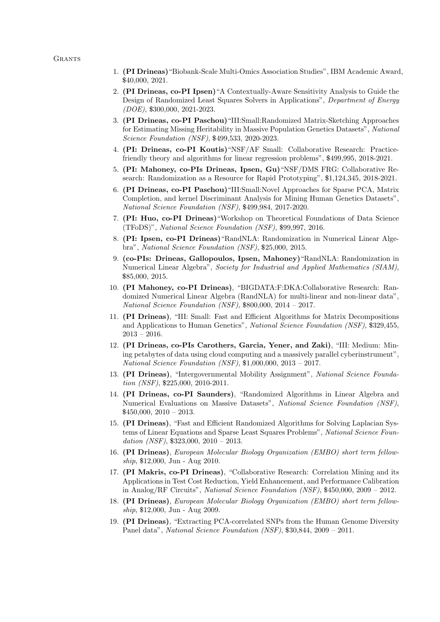### **GRANTS**

- 1. (PI Drineas)"Biobank-Scale Multi-Omics Association Studies", IBM Academic Award, \$40,000, 2021.
- 2. (PI Drineas, co-PI Ipsen)"A Contextually-Aware Sensitivity Analysis to Guide the Design of Randomized Least Squares Solvers in Applications", Department of Energy (DOE), \$300,000, 2021-2023.
- 3. (PI Drineas, co-PI Paschou)"III:Small:Randomized Matrix-Sketching Approaches for Estimating Missing Heritability in Massive Population Genetics Datasets", National Science Foundation (NSF), \$499,533, 2020-2023.
- 4. (PI: Drineas, co-PI Koutis)"NSF/AF Small: Collaborative Research: Practicefriendly theory and algorithms for linear regression problems", \$499,995, 2018-2021.
- 5. (PI: Mahoney, co-PIs Drineas, Ipsen, Gu)"NSF/DMS FRG: Collaborative Research: Randomization as a Resource for Rapid Prototyping", \$1,124,345, 2018-2021.
- 6. (PI Drineas, co-PI Paschou)"III:Small:Novel Approaches for Sparse PCA, Matrix Completion, and kernel Discriminant Analysis for Mining Human Genetics Datasets", National Science Foundation (NSF), \$499,984, 2017-2020.
- 7. (PI: Huo, co-PI Drineas)"Workshop on Theoretical Foundations of Data Science (TFoDS)", National Science Foundation (NSF), \$99,997, 2016.
- 8. (PI: Ipsen, co-PI Drineas)"RandNLA: Randomization in Numerical Linear Algebra", National Science Foundation (NSF), \$25,000, 2015.
- 9. (co-PIs: Drineas, Gallopoulos, Ipsen, Mahoney)"RandNLA: Randomization in Numerical Linear Algebra", Society for Industrial and Applied Mathematics (SIAM), \$85,000, 2015.
- 10. (PI Mahoney, co-PI Drineas), "BIGDATA:F:DKA:Collaborative Research: Randomized Numerical Linear Algebra (RandNLA) for multi-linear and non-linear data", National Science Foundation (NSF), \$800,000, 2014 – 2017.
- 11. (PI Drineas), "III: Small: Fast and Efficient Algorithms for Matrix Decompositions and Applications to Human Genetics", National Science Foundation (NSF), \$329,455, 2013 – 2016.
- 12. (PI Drineas, co-PIs Carothers, Garcia, Yener, and Zaki), "III: Medium: Mining petabytes of data using cloud computing and a massively parallel cyberinstrument", National Science Foundation (NSF), \$1,000,000, 2013 – 2017.
- 13. (PI Drineas), "Intergovernmental Mobility Assignment", National Science Foundation (NSF), \$225,000, 2010-2011.
- 14. (PI Drineas, co-PI Saunders), "Randomized Algorithms in Linear Algebra and Numerical Evaluations on Massive Datasets", National Science Foundation (NSF),  $$450,000, 2010 - 2013.$
- 15. (PI Drineas), "Fast and Efficient Randomized Algorithms for Solving Laplacian Systems of Linear Equations and Sparse Least Squares Problems", National Science Foundation (NSF),  $$323,000, 2010 - 2013$ .
- 16. (PI Drineas), European Molecular Biology Organization (EMBO) short term fellowship, \$12,000, Jun - Aug 2010.
- 17. (PI Makris, co-PI Drineas), "Collaborative Research: Correlation Mining and its Applications in Test Cost Reduction, Yield Enhancement, and Performance Calibration in Analog/RF Circuits", National Science Foundation (NSF), \$450,000, 2009 – 2012.
- 18. (PI Drineas), European Molecular Biology Organization (EMBO) short term fellowship, \$12,000, Jun - Aug 2009.
- 19. (PI Drineas), "Extracting PCA-correlated SNPs from the Human Genome Diversity Panel data", National Science Foundation (NSF), \$30,844, 2009 – 2011.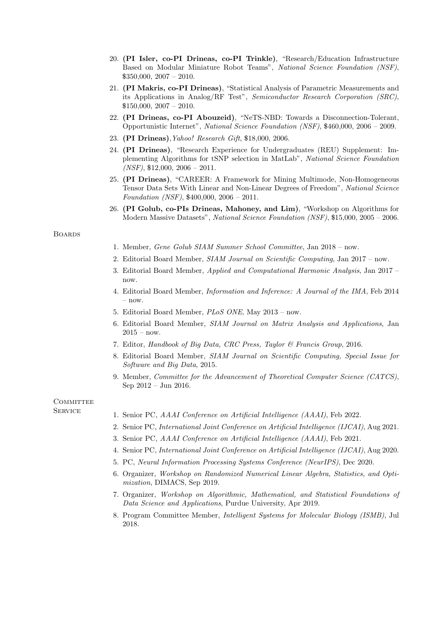- 20. (PI Isler, co-PI Drineas, co-PI Trinkle), "Research/Education Infrastructure Based on Modular Miniature Robot Teams", National Science Foundation (NSF), \$350,000, 2007 – 2010.
- 21. (PI Makris, co-PI Drineas), "Statistical Analysis of Parametric Measurements and its Applications in Analog/RF Test", Semiconductor Research Corporation (SRC), \$150,000, 2007 – 2010.
- 22. (PI Drineas, co-PI Abouzeid), "NeTS-NBD: Towards a Disconnection-Tolerant, Opportunistic Internet", National Science Foundation (NSF), \$460,000, 2006 – 2009.
- 23. (PI Drineas),Yahoo! Research Gift, \$18,000, 2006.
- 24. (PI Drineas), "Research Experience for Undergraduates (REU) Supplement: Implementing Algorithms for tSNP selection in MatLab", National Science Foundation  $(NSF)$ , \$12,000, 2006 – 2011.
- 25. (PI Drineas), "CAREER: A Framework for Mining Multimode, Non-Homogeneous Tensor Data Sets With Linear and Non-Linear Degrees of Freedom", National Science Foundation (NSF), \$400,000, 2006 – 2011.
- 26. (PI Golub, co-PIs Drineas, Mahoney, and Lim), "Workshop on Algorithms for Modern Massive Datasets", National Science Foundation (NSF), \$15,000, 2005 – 2006.

## **BOARDS**

- 1. Member, Gene Golub SIAM Summer School Committee, Jan 2018 now.
- 2. Editorial Board Member, SIAM Journal on Scientific Computing, Jan 2017 now.
- 3. Editorial Board Member, Applied and Computational Harmonic Analysis, Jan 2017 now.
- 4. Editorial Board Member, Information and Inference: A Journal of the IMA, Feb 2014 – now.
- 5. Editorial Board Member, PLoS ONE, May 2013 now.
- 6. Editorial Board Member, SIAM Journal on Matrix Analysis and Applications, Jan  $2015 - now.$
- 7. Editor, Handbook of Big Data, CRC Press, Taylor & Francis Group, 2016.
- 8. Editorial Board Member, SIAM Journal on Scientific Computing, Special Issue for Software and Big Data, 2015.
- 9. Member, Committee for the Advancement of Theoretical Computer Science (CATCS), Sep 2012 – Jun 2016.

## **COMMITTEE**

- SERVICE 1. Senior PC, AAAI Conference on Artificial Intelligence (AAAI), Feb 2022.
	- 2. Senior PC, International Joint Conference on Artificial Intelligence (IJCAI), Aug 2021.
	- 3. Senior PC, AAAI Conference on Artificial Intelligence (AAAI), Feb 2021.
	- 4. Senior PC, International Joint Conference on Artificial Intelligence (IJCAI), Aug 2020.
	- 5. PC, Neural Information Processing Systems Conference (NeurIPS), Dec 2020.
	- 6. Organizer, Workshop on Randomized Numerical Linear Algebra, Statistics, and Optimization, DIMACS, Sep 2019.
	- 7. Organizer, Workshop on Algorithmic, Mathematical, and Statistical Foundations of Data Science and Applications, Purdue University, Apr 2019.
	- 8. Program Committee Member, Intelligent Systems for Molecular Biology (ISMB), Jul 2018.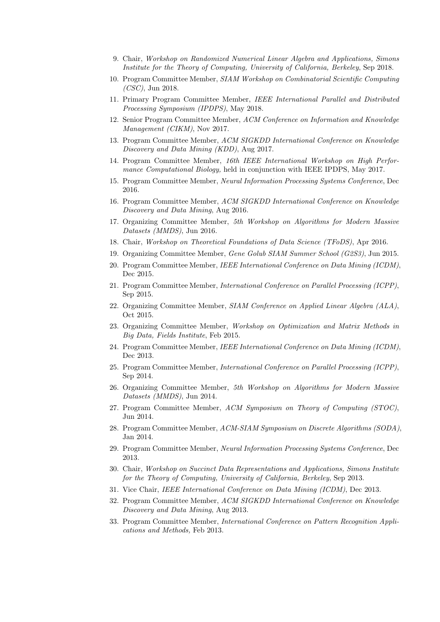- 9. Chair, Workshop on Randomized Numerical Linear Algebra and Applications, Simons Institute for the Theory of Computing, University of California, Berkeley, Sep 2018.
- 10. Program Committee Member, SIAM Workshop on Combinatorial Scientific Computing (CSC), Jun 2018.
- 11. Primary Program Committee Member, IEEE International Parallel and Distributed Processing Symposium (IPDPS), May 2018.
- 12. Senior Program Committee Member, ACM Conference on Information and Knowledge Management (CIKM), Nov 2017.
- 13. Program Committee Member, ACM SIGKDD International Conference on Knowledge Discovery and Data Mining (KDD), Aug 2017.
- 14. Program Committee Member, 16th IEEE International Workshop on High Performance Computational Biology, held in conjunction with IEEE IPDPS, May 2017.
- 15. Program Committee Member, Neural Information Processing Systems Conference, Dec 2016.
- 16. Program Committee Member, ACM SIGKDD International Conference on Knowledge Discovery and Data Mining, Aug 2016.
- 17. Organizing Committee Member, 5th Workshop on Algorithms for Modern Massive Datasets (MMDS), Jun 2016.
- 18. Chair, Workshop on Theoretical Foundations of Data Science (TFoDS), Apr 2016.
- 19. Organizing Committee Member, Gene Golub SIAM Summer School (G2S3), Jun 2015.
- 20. Program Committee Member, IEEE International Conference on Data Mining (ICDM), Dec 2015.
- 21. Program Committee Member, International Conference on Parallel Processing (ICPP), Sep 2015.
- 22. Organizing Committee Member, SIAM Conference on Applied Linear Algebra (ALA), Oct 2015.
- 23. Organizing Committee Member, Workshop on Optimization and Matrix Methods in Big Data, Fields Institute, Feb 2015.
- 24. Program Committee Member, IEEE International Conference on Data Mining (ICDM), Dec 2013.
- 25. Program Committee Member, International Conference on Parallel Processing (ICPP), Sep 2014.
- 26. Organizing Committee Member, 5th Workshop on Algorithms for Modern Massive Datasets (MMDS), Jun 2014.
- 27. Program Committee Member, ACM Symposium on Theory of Computing (STOC), Jun 2014.
- 28. Program Committee Member, ACM-SIAM Symposium on Discrete Algorithms (SODA), Jan 2014.
- 29. Program Committee Member, Neural Information Processing Systems Conference, Dec 2013.
- 30. Chair, Workshop on Succinct Data Representations and Applications, Simons Institute for the Theory of Computing, University of California, Berkeley, Sep 2013.
- 31. Vice Chair, IEEE International Conference on Data Mining (ICDM), Dec 2013.
- 32. Program Committee Member, ACM SIGKDD International Conference on Knowledge Discovery and Data Mining, Aug 2013.
- 33. Program Committee Member, International Conference on Pattern Recognition Applications and Methods, Feb 2013.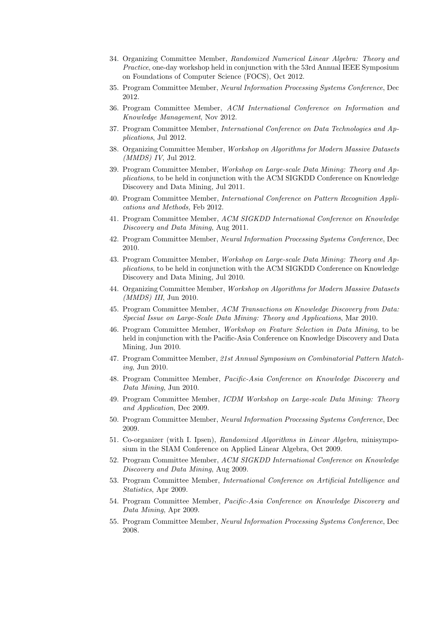- 34. Organizing Committee Member, Randomized Numerical Linear Algebra: Theory and Practice, one-day workshop held in conjunction with the 53rd Annual IEEE Symposium on Foundations of Computer Science (FOCS), Oct 2012.
- 35. Program Committee Member, Neural Information Processing Systems Conference, Dec 2012.
- 36. Program Committee Member, ACM International Conference on Information and Knowledge Management, Nov 2012.
- 37. Program Committee Member, International Conference on Data Technologies and Applications, Jul 2012.
- 38. Organizing Committee Member, Workshop on Algorithms for Modern Massive Datasets (MMDS) IV, Jul 2012.
- 39. Program Committee Member, Workshop on Large-scale Data Mining: Theory and Applications, to be held in conjunction with the ACM SIGKDD Conference on Knowledge Discovery and Data Mining, Jul 2011.
- 40. Program Committee Member, International Conference on Pattern Recognition Applications and Methods, Feb 2012.
- 41. Program Committee Member, ACM SIGKDD International Conference on Knowledge Discovery and Data Mining, Aug 2011.
- 42. Program Committee Member, Neural Information Processing Systems Conference, Dec 2010.
- 43. Program Committee Member, Workshop on Large-scale Data Mining: Theory and Applications, to be held in conjunction with the ACM SIGKDD Conference on Knowledge Discovery and Data Mining, Jul 2010.
- 44. Organizing Committee Member, Workshop on Algorithms for Modern Massive Datasets (MMDS) III, Jun 2010.
- 45. Program Committee Member, ACM Transactions on Knowledge Discovery from Data: Special Issue on Large-Scale Data Mining: Theory and Applications, Mar 2010.
- 46. Program Committee Member, Workshop on Feature Selection in Data Mining, to be held in conjunction with the Pacific-Asia Conference on Knowledge Discovery and Data Mining, Jun 2010.
- 47. Program Committee Member, 21st Annual Symposium on Combinatorial Pattern Matching, Jun 2010.
- 48. Program Committee Member, Pacific-Asia Conference on Knowledge Discovery and Data Mining, Jun 2010.
- 49. Program Committee Member, ICDM Workshop on Large-scale Data Mining: Theory and Application, Dec 2009.
- 50. Program Committee Member, Neural Information Processing Systems Conference, Dec 2009.
- 51. Co-organizer (with I. Ipsen), Randomized Algorithms in Linear Algebra, minisymposium in the SIAM Conference on Applied Linear Algebra, Oct 2009.
- 52. Program Committee Member, ACM SIGKDD International Conference on Knowledge Discovery and Data Mining, Aug 2009.
- 53. Program Committee Member, International Conference on Artificial Intelligence and Statistics, Apr 2009.
- 54. Program Committee Member, Pacific-Asia Conference on Knowledge Discovery and Data Mining, Apr 2009.
- 55. Program Committee Member, Neural Information Processing Systems Conference, Dec 2008.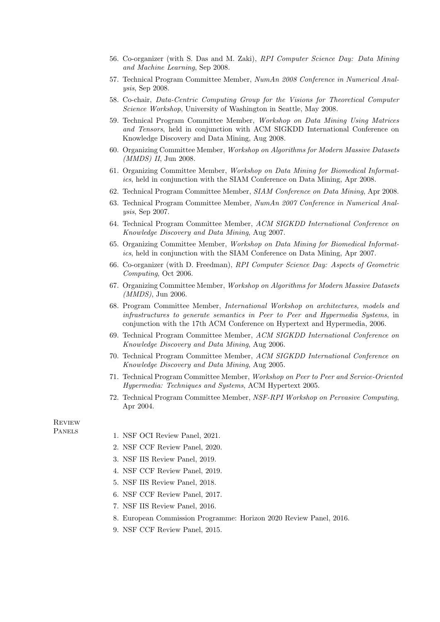- 56. Co-organizer (with S. Das and M. Zaki), RPI Computer Science Day: Data Mining and Machine Learning, Sep 2008.
- 57. Technical Program Committee Member, NumAn 2008 Conference in Numerical Analysis, Sep 2008.
- 58. Co-chair, Data-Centric Computing Group for the Visions for Theoretical Computer Science Workshop, University of Washington in Seattle, May 2008.
- 59. Technical Program Committee Member, Workshop on Data Mining Using Matrices and Tensors, held in conjunction with ACM SIGKDD International Conference on Knowledge Discovery and Data Mining, Aug 2008.
- 60. Organizing Committee Member, Workshop on Algorithms for Modern Massive Datasets (MMDS) II, Jun 2008.
- 61. Organizing Committee Member, Workshop on Data Mining for Biomedical Informatics, held in conjunction with the SIAM Conference on Data Mining, Apr 2008.
- 62. Technical Program Committee Member, SIAM Conference on Data Mining, Apr 2008.
- 63. Technical Program Committee Member, NumAn 2007 Conference in Numerical Analysis, Sep 2007.
- 64. Technical Program Committee Member, ACM SIGKDD International Conference on Knowledge Discovery and Data Mining, Aug 2007.
- 65. Organizing Committee Member, Workshop on Data Mining for Biomedical Informatics, held in conjunction with the SIAM Conference on Data Mining, Apr 2007.
- 66. Co-organizer (with D. Freedman), RPI Computer Science Day: Aspects of Geometric Computing, Oct 2006.
- 67. Organizing Committee Member, Workshop on Algorithms for Modern Massive Datasets (MMDS), Jun 2006.
- 68. Program Committee Member, International Workshop on architectures, models and infrastructures to generate semantics in Peer to Peer and Hypermedia Systems, in conjunction with the 17th ACM Conference on Hypertext and Hypermedia, 2006.
- 69. Technical Program Committee Member, ACM SIGKDD International Conference on Knowledge Discovery and Data Mining, Aug 2006.
- 70. Technical Program Committee Member, ACM SIGKDD International Conference on Knowledge Discovery and Data Mining, Aug 2005.
- 71. Technical Program Committee Member, Workshop on Peer to Peer and Service-Oriented Hypermedia: Techniques and Systems, ACM Hypertext 2005.
- 72. Technical Program Committee Member, NSF-RPI Workshop on Pervasive Computing, Apr 2004.

**REVIEW** 

- PANELS 1. NSF OCI Review Panel, 2021.
	- 2. NSF CCF Review Panel, 2020.
	- 3. NSF IIS Review Panel, 2019.
	- 4. NSF CCF Review Panel, 2019.
	- 5. NSF IIS Review Panel, 2018.
	- 6. NSF CCF Review Panel, 2017.
	- 7. NSF IIS Review Panel, 2016.
	- 8. European Commission Programme: Horizon 2020 Review Panel, 2016.
	- 9. NSF CCF Review Panel, 2015.